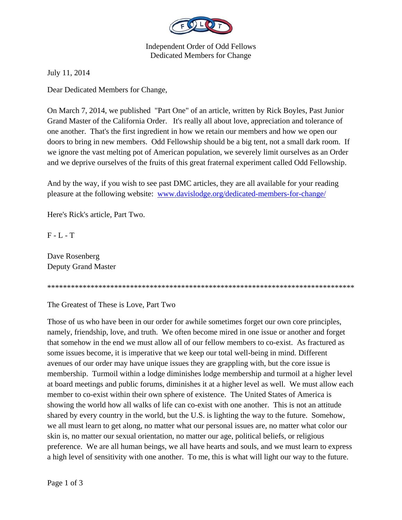

Independent Order of Odd Fellows Dedicated Members for Change

July 11, 2014

Dear Dedicated Members for Change,

On March 7, 2014, we published "Part One" of an article, written by Rick Boyles, Past Junior Grand Master of the California Order. It's really all about love, appreciation and tolerance of one another. That's the first ingredient in how we retain our members and how we open our doors to bring in new members. Odd Fellowship should be a big tent, not a small dark room. If we ignore the vast melting pot of American population, we severely limit ourselves as an Order and we deprive ourselves of the fruits of this great fraternal experiment called Odd Fellowship.

And by the way, if you wish to see past DMC articles, they are all available for your reading pleasure at the following website: www.davislodge.org/dedicated-members-for-change/

Here's Rick's article, Part Two.

F - L - T

Dave Rosenberg Deputy Grand Master

\*\*\*\*\*\*\*\*\*\*\*\*\*\*\*\*\*\*\*\*\*\*\*\*\*\*\*\*\*\*\*\*\*\*\*\*\*\*\*\*\*\*\*\*\*\*\*\*\*\*\*\*\*\*\*\*\*\*\*\*\*\*\*\*\*\*\*\*\*\*\*\*\*\*\*\*\*\*

The Greatest of These is Love, Part Two

Those of us who have been in our order for awhile sometimes forget our own core principles, namely, friendship, love, and truth. We often become mired in one issue or another and forget that somehow in the end we must allow all of our fellow members to co-exist. As fractured as some issues become, it is imperative that we keep our total well-being in mind. Different avenues of our order may have unique issues they are grappling with, but the core issue is membership. Turmoil within a lodge diminishes lodge membership and turmoil at a higher level at board meetings and public forums, diminishes it at a higher level as well. We must allow each member to co-exist within their own sphere of existence. The United States of America is showing the world how all walks of life can co-exist with one another. This is not an attitude shared by every country in the world, but the U.S. is lighting the way to the future. Somehow, we all must learn to get along, no matter what our personal issues are, no matter what color our skin is, no matter our sexual orientation, no matter our age, political beliefs, or religious preference. We are all human beings, we all have hearts and souls, and we must learn to express a high level of sensitivity with one another. To me, this is what will light our way to the future.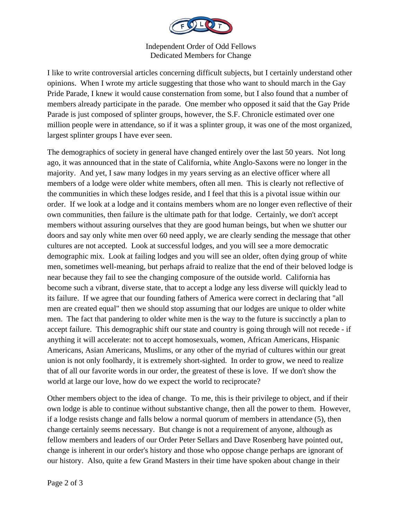

Independent Order of Odd Fellows Dedicated Members for Change

I like to write controversial articles concerning difficult subjects, but I certainly understand other opinions. When I wrote my article suggesting that those who want to should march in the Gay Pride Parade, I knew it would cause consternation from some, but I also found that a number of members already participate in the parade. One member who opposed it said that the Gay Pride Parade is just composed of splinter groups, however, the S.F. Chronicle estimated over one million people were in attendance, so if it was a splinter group, it was one of the most organized, largest splinter groups I have ever seen.

The demographics of society in general have changed entirely over the last 50 years. Not long ago, it was announced that in the state of California, white Anglo-Saxons were no longer in the majority. And yet, I saw many lodges in my years serving as an elective officer where all members of a lodge were older white members, often all men. This is clearly not reflective of the communities in which these lodges reside, and I feel that this is a pivotal issue within our order. If we look at a lodge and it contains members whom are no longer even reflective of their own communities, then failure is the ultimate path for that lodge. Certainly, we don't accept members without assuring ourselves that they are good human beings, but when we shutter our doors and say only white men over 60 need apply, we are clearly sending the message that other cultures are not accepted. Look at successful lodges, and you will see a more democratic demographic mix. Look at failing lodges and you will see an older, often dying group of white men, sometimes well-meaning, but perhaps afraid to realize that the end of their beloved lodge is near because they fail to see the changing composure of the outside world. California has become such a vibrant, diverse state, that to accept a lodge any less diverse will quickly lead to its failure. If we agree that our founding fathers of America were correct in declaring that "all men are created equal" then we should stop assuming that our lodges are unique to older white men. The fact that pandering to older white men is the way to the future is succinctly a plan to accept failure. This demographic shift our state and country is going through will not recede - if anything it will accelerate: not to accept homosexuals, women, African Americans, Hispanic Americans, Asian Americans, Muslims, or any other of the myriad of cultures within our great union is not only foolhardy, it is extremely short-sighted. In order to grow, we need to realize that of all our favorite words in our order, the greatest of these is love. If we don't show the world at large our love, how do we expect the world to reciprocate?

Other members object to the idea of change. To me, this is their privilege to object, and if their own lodge is able to continue without substantive change, then all the power to them. However, if a lodge resists change and falls below a normal quorum of members in attendance (5), then change certainly seems necessary. But change is not a requirement of anyone, although as fellow members and leaders of our Order Peter Sellars and Dave Rosenberg have pointed out, change is inherent in our order's history and those who oppose change perhaps are ignorant of our history. Also, quite a few Grand Masters in their time have spoken about change in their